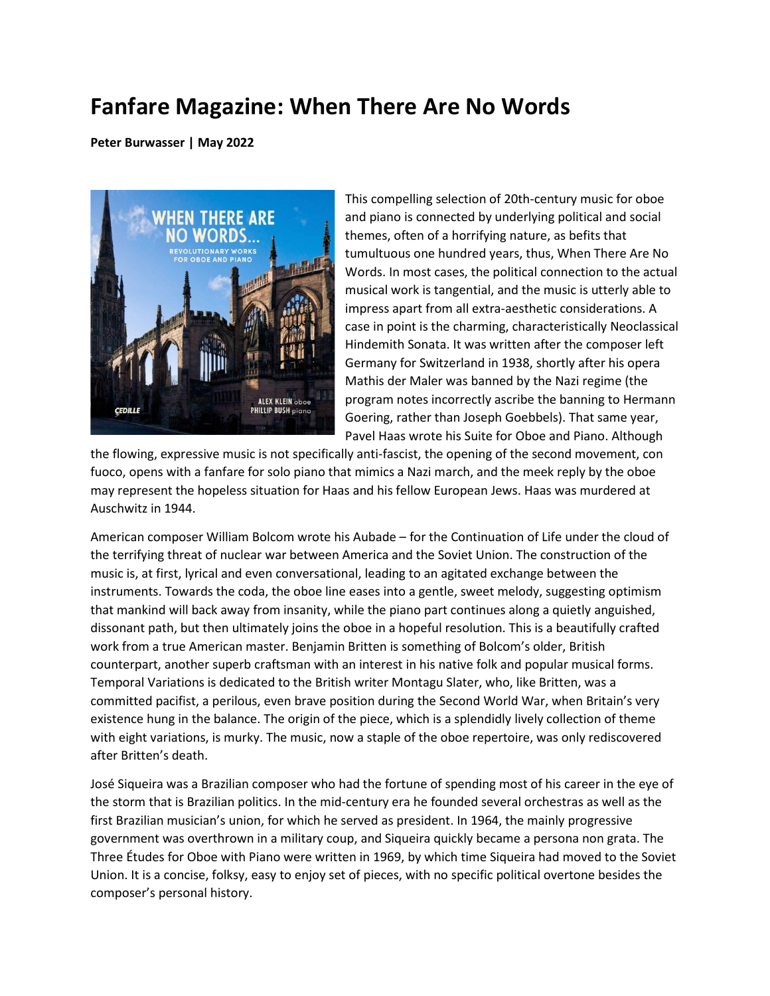## **Fanfare Magazine: When There Are No Words**

**Peter Burwasser | May 2022**



This compelling selection of 20th-century music for oboe and piano is connected by underlying political and social themes, often of a horrifying nature, as befits that tumultuous one hundred years, thus, When There Are No Words. In most cases, the political connection to the actual musical work is tangential, and the music is utterly able to impress apart from all extra-aesthetic considerations. A case in point is the charming, characteristically Neoclassical Hindemith Sonata. It was written after the composer left Germany for Switzerland in 1938, shortly after his opera Mathis der Maler was banned by the Nazi regime (the program notes incorrectly ascribe the banning to Hermann Goering, rather than Joseph Goebbels). That same year, Pavel Haas wrote his Suite for Oboe and Piano. Although

the flowing, expressive music is not specifically anti-fascist, the opening of the second movement, con fuoco, opens with a fanfare for solo piano that mimics a Nazi march, and the meek reply by the oboe may represent the hopeless situation for Haas and his fellow European Jews. Haas was murdered at Auschwitz in 1944.

American composer William Bolcom wrote his Aubade – for the Continuation of Life under the cloud of the terrifying threat of nuclear war between America and the Soviet Union. The construction of the music is, at first, lyrical and even conversational, leading to an agitated exchange between the instruments. Towards the coda, the oboe line eases into a gentle, sweet melody, suggesting optimism that mankind will back away from insanity, while the piano part continues along a quietly anguished, dissonant path, but then ultimately joins the oboe in a hopeful resolution. This is a beautifully crafted work from a true American master. Benjamin Britten is something of Bolcom's older, British counterpart, another superb craftsman with an interest in his native folk and popular musical forms. Temporal Variations is dedicated to the British writer Montagu Slater, who, like Britten, was a committed pacifist, a perilous, even brave position during the Second World War, when Britain's very existence hung in the balance. The origin of the piece, which is a splendidly lively collection of theme with eight variations, is murky. The music, now a staple of the oboe repertoire, was only rediscovered after Britten's death.

José Siqueira was a Brazilian composer who had the fortune of spending most of his career in the eye of the storm that is Brazilian politics. In the mid-century era he founded several orchestras as well as the first Brazilian musician's union, for which he served as president. In 1964, the mainly progressive government was overthrown in a military coup, and Siqueira quickly became a persona non grata. The Three Études for Oboe with Piano were written in 1969, by which time Siqueira had moved to the Soviet Union. It is a concise, folksy, easy to enjoy set of pieces, with no specific political overtone besides the composer's personal history.